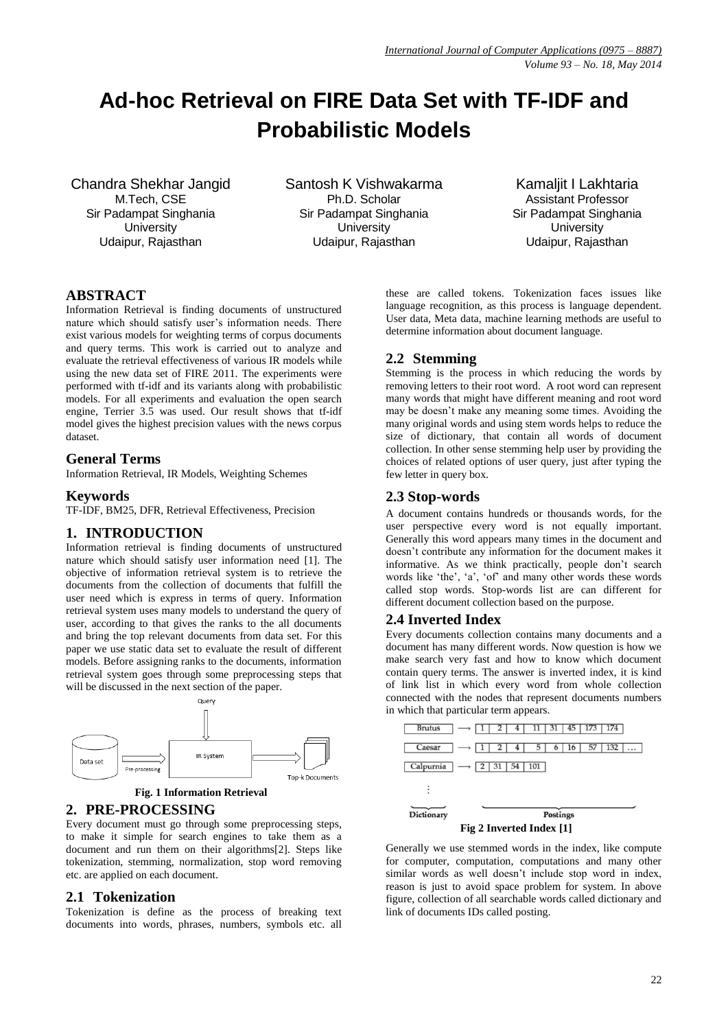# **Ad-hoc Retrieval on FIRE Data Set with TF-IDF and Probabilistic Models**

Chandra Shekhar Jangid M.Tech, CSE Sir Padampat Singhania **University** Udaipur, Rajasthan

Santosh K Vishwakarma Ph.D. Scholar Sir Padampat Singhania **University** Udaipur, Rajasthan

Kamaljit I Lakhtaria Assistant Professor Sir Padampat Singhania **University** Udaipur, Rajasthan

# **ABSTRACT**

Information Retrieval is finding documents of unstructured nature which should satisfy user's information needs. There exist various models for weighting terms of corpus documents and query terms. This work is carried out to analyze and evaluate the retrieval effectiveness of various IR models while using the new data set of FIRE 2011. The experiments were performed with tf-idf and its variants along with probabilistic models. For all experiments and evaluation the open search engine, Terrier 3.5 was used. Our result shows that tf-idf model gives the highest precision values with the news corpus dataset.

## **General Terms**

Information Retrieval, IR Models, Weighting Schemes

#### **Keywords**

TF-IDF, BM25, DFR, Retrieval Effectiveness, Precision

# **1. INTRODUCTION**

Information retrieval is finding documents of unstructured nature which should satisfy user information need [1]. The objective of information retrieval system is to retrieve the documents from the collection of documents that fulfill the user need which is express in terms of query. Information retrieval system uses many models to understand the query of user, according to that gives the ranks to the all documents and bring the top relevant documents from data set. For this paper we use static data set to evaluate the result of different models. Before assigning ranks to the documents, information retrieval system goes through some preprocessing steps that will be discussed in the next section of the paper.



**Fig. 1 Information Retrieval** 

#### **2. PRE-PROCESSING**

Every document must go through some preprocessing steps, to make it simple for search engines to take them as a document and run them on their algorithms[2]. Steps like tokenization, stemming, normalization, stop word removing etc. are applied on each document.

#### **2.1 Tokenization**

Tokenization is define as the process of breaking text documents into words, phrases, numbers, symbols etc. all these are called tokens. Tokenization faces issues like language recognition, as this process is language dependent. User data, Meta data, machine learning methods are useful to determine information about document language.

# **2.2 Stemming**

Stemming is the process in which reducing the words by removing letters to their root word. A root word can represent many words that might have different meaning and root word may be doesn't make any meaning some times. Avoiding the many original words and using stem words helps to reduce the size of dictionary, that contain all words of document collection. In other sense stemming help user by providing the choices of related options of user query, just after typing the few letter in query box.

## **2.3 Stop-words**

A document contains hundreds or thousands words, for the user perspective every word is not equally important. Generally this word appears many times in the document and doesn't contribute any information for the document makes it informative. As we think practically, people don't search words like 'the', 'a', 'of' and many other words these words called stop words. Stop-words list are can different for different document collection based on the purpose.

#### **2.4 Inverted Index**

Every documents collection contains many documents and a document has many different words. Now question is how we make search very fast and how to know which document contain query terms. The answer is inverted index, it is kind of link list in which every word from whole collection connected with the nodes that represent documents numbers in which that particular term appears.



**Fig 2 Inverted Index [1]**

Generally we use stemmed words in the index, like compute for computer, computation, computations and many other similar words as well doesn't include stop word in index, reason is just to avoid space problem for system. In above figure, collection of all searchable words called dictionary and link of documents IDs called posting.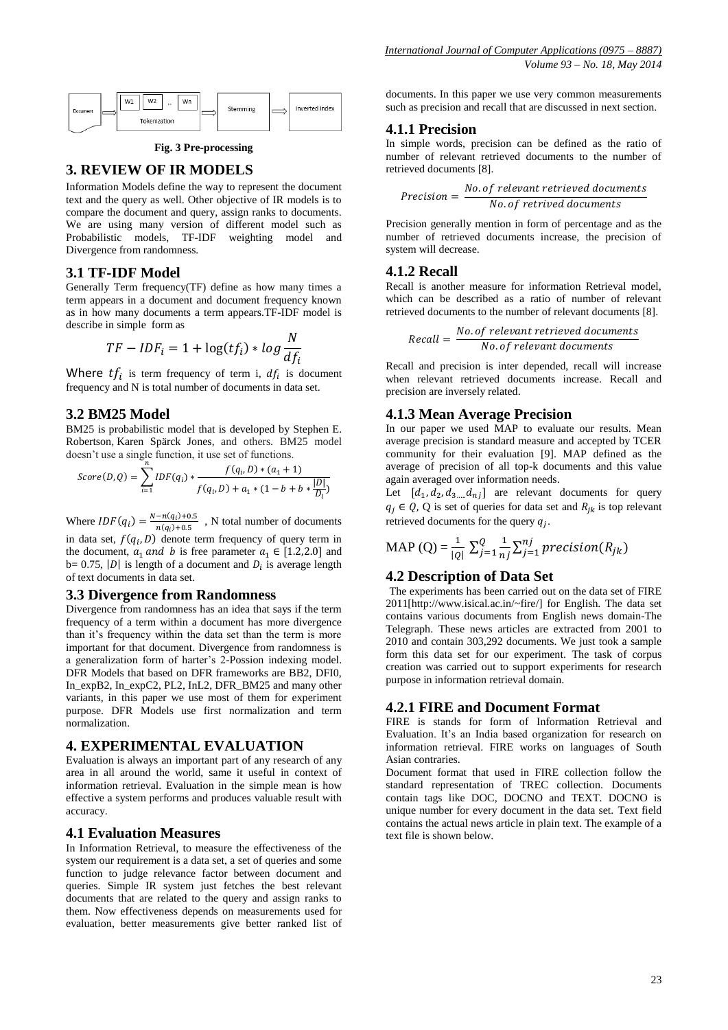

**Fig. 3 Pre-processing**

## **3. REVIEW OF IR MODELS**

Information Models define the way to represent the document text and the query as well. Other objective of IR models is to compare the document and query, assign ranks to documents. We are using many version of different model such as Probabilistic models, TF-IDF weighting model and Divergence from randomness.

#### **3.1 TF-IDF Model**

Generally Term frequency(TF) define as how many times a term appears in a document and document frequency known as in how many documents a term appears.TF-IDF model is describe in simple form as

$$
TF - IDF_i = 1 + \log(tf_i) * log \frac{N}{df_i}
$$

Where  $tf_i$  is term frequency of term i,  $df_i$  is document frequency and N is total number of documents in data set.

#### **3.2 BM25 Model**

BM25 is probabilistic model that is developed by Stephen E. Robertson, Karen Spärck Jones, and others. BM25 model doesn't use a single function, it use set of functions.

$$
Score(D,Q) = \sum_{i=1}^{n} IDF(q_i) * \frac{f(q_i, D) * (a_1 + 1)}{f(q_i, D) + a_1 * (1 - b + b * \frac{|D|}{D_l})}
$$

Where  $IDF(q_i) = \frac{N-n(q_i)}{n(n_i)}$  $\frac{-n(q_i)+0.5}{n(q_i)+0.5}$ , N total number of documents

in data set,  $f(q_i, D)$  denote term frequency of query term in the document,  $a_1$  and b is free parameter  $a_1 \in [1.2, 2.0]$  and  $b= 0.75$ , |D| is length of a document and  $D_i$  is average length of text documents in data set.

#### **3.3 Divergence from Randomness**

Divergence from randomness has an idea that says if the term frequency of a term within a document has more divergence than it's frequency within the data set than the term is more important for that document. Divergence from randomness is a generalization form of harter's 2-Possion indexing model. DFR Models that based on DFR frameworks are BB2, DFI0, In\_expB2, In\_expC2, PL2, InL2, DFR\_BM25 and many other variants, in this paper we use most of them for experiment purpose. DFR Models use first normalization and term normalization.

#### **4. EXPERIMENTAL EVALUATION**

Evaluation is always an important part of any research of any area in all around the world, same it useful in context of information retrieval. Evaluation in the simple mean is how effective a system performs and produces valuable result with accuracy.

#### **4.1 Evaluation Measures**

In Information Retrieval, to measure the effectiveness of the system our requirement is a data set, a set of queries and some function to judge relevance factor between document and queries. Simple IR system just fetches the best relevant documents that are related to the query and assign ranks to them. Now effectiveness depends on measurements used for evaluation, better measurements give better ranked list of documents. In this paper we use very common measurements such as precision and recall that are discussed in next section.

#### **4.1.1 Precision**

In simple words, precision can be defined as the ratio of number of relevant retrieved documents to the number of retrieved documents [8].

$$
Precision = \frac{No. of relevant retrieved documents}{No. of retrieved documents}
$$

Precision generally mention in form of percentage and as the number of retrieved documents increase, the precision of system will decrease.

## **4.1.2 Recall**

Recall is another measure for information Retrieval model, which can be described as a ratio of number of relevant retrieved documents to the number of relevant documents [8].

$$
Recall = \frac{No. of relevant retrieved documents}{No. of relevant documents}
$$

Recall and precision is inter depended, recall will increase when relevant retrieved documents increase. Recall and precision are inversely related.

#### **4.1.3 Mean Average Precision**

In our paper we used MAP to evaluate our results. Mean average precision is standard measure and accepted by TCER community for their evaluation [9]. MAP defined as the average of precision of all top-k documents and this value again averaged over information needs.

Let  $[d_1, d_2, d_{3,\dots} d_{nj}]$  are relevant documents for query  $q_i \in Q$ , Q is set of queries for data set and  $R_{ik}$  is top relevant retrieved documents for the query  $q_i$ .

$$
\text{MAP (Q)} = \frac{1}{|Q|} \sum_{j=1}^{Q} \frac{1}{nj} \sum_{j=1}^{nj} precision(R_{jk})
$$

#### **4.2 Description of Data Set**

The experiments has been carried out on the data set of FIRE 2011[http://www.isical.ac.in/~fire/] for English. The data set contains various documents from English news domain-The Telegraph. These news articles are extracted from 2001 to 2010 and contain 303,292 documents. We just took a sample form this data set for our experiment. The task of corpus creation was carried out to support experiments for research purpose in information retrieval domain.

#### **4.2.1 FIRE and Document Format**

FIRE is stands for form of Information Retrieval and Evaluation. It's an India based organization for research on information retrieval. FIRE works on languages of South Asian contraries.

Document format that used in FIRE collection follow the standard representation of TREC collection. Documents contain tags like DOC, DOCNO and TEXT. DOCNO is unique number for every document in the data set. Text field contains the actual news article in plain text. The example of a text file is shown below.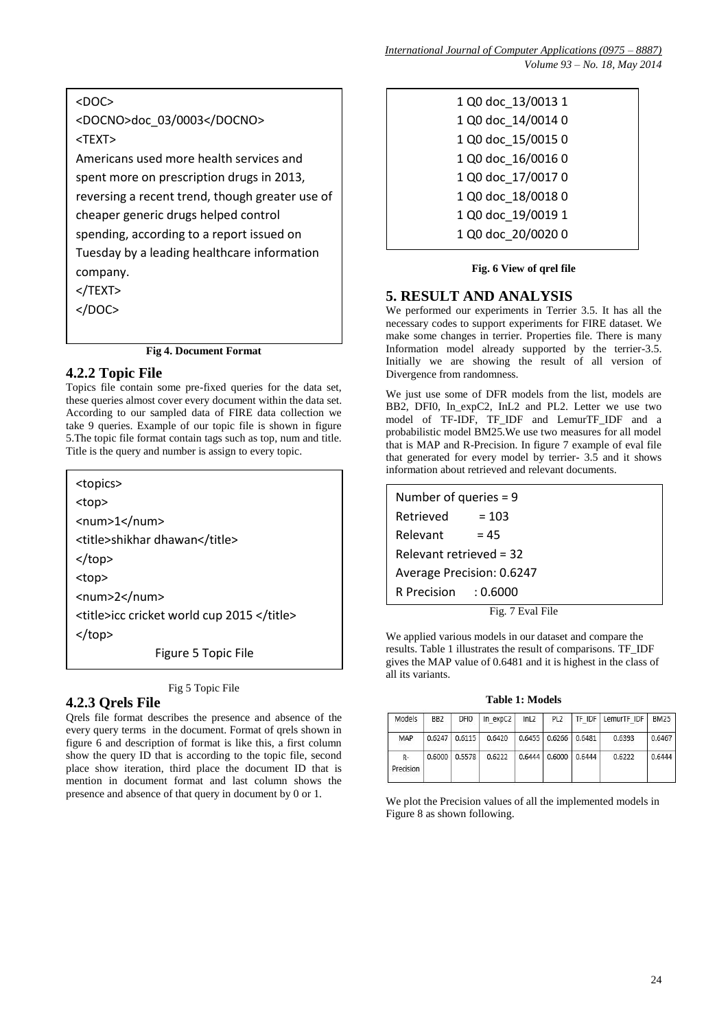<DOC> <DOCNO>doc\_03/0003</DOCNO> <TEXT> Americans used more health services and spent more on prescription drugs in 2013, reversing a recent trend, though greater use of cheaper generic drugs helped control spending, according to a report issued on Tuesday by a leading healthcare information company. </TEXT>  $<$ /DOC $>$ 

**Fig 4. Document Format**

# **4.2.2 Topic File**

Topics file contain some pre-fixed queries for the data set, these queries almost cover every document within the data set. According to our sampled data of FIRE data collection we take 9 queries. Example of our topic file is shown in figure 5.The topic file format contain tags such as top, num and title. Title is the query and number is assign to every topic.

<topics>

<top>

<num>1</num>

<title>shikhar dhawan</title>

</top>

<top>

<num>2</num>

<title>icc cricket world cup 2015 </title>

</top>

Figure 5 Topic File

Fig 5 Topic File

# **4.2.3 Qrels File**

Qrels file format describes the presence and absence of the Qreis file format describes the presence and absence of the every query terms in the document. Format of qrels shown in figure  $\overline{6}$  and description of format is like this, a first column show the query ID that is according to the topic file, second  $\eta$  has isometered to the topic file that is place show iteration, third place the document ID that is mention in document format and last column shows the presence and absence of that query in document by 0 or 1.

| 1 Q0 doc 13/0013 1 |
|--------------------|
| 1 Q0 doc 14/0014 0 |
| 1 Q0 doc_15/0015 0 |
| 1 Q0 doc 16/0016 0 |
| 1 Q0 doc_17/0017 0 |
| 1 Q0 doc 18/0018 0 |
| 1 Q0 doc_19/0019 1 |
| 1 Q0 doc 20/0020 0 |
|                    |

#### **Fig. 6 View of qrel file**

# **5. RESULT AND ANALYSIS**

We performed our experiments in Terrier 3.5. It has all the necessary codes to support experiments for FIRE dataset. We make some changes in terrier. Properties file. There is many Information model already supported by the terrier-3.5. Initially we are showing the result of all version of Divergence from randomness.

We just use some of DFR models from the list, models are BB2, DFI0, In\_expC2, InL2 and PL2. Letter we use two model of TF-IDF, TF\_IDF and LemurTF\_IDF and a probabilistic model BM25.We use two measures for all model that is MAP and R-Precision. In figure 7 example of eval file that generated for every model by terrier- 3.5 and it shows information about retrieved and relevant documents.

| Number of queries $= 9$   |         |  |  |  |  |  |
|---------------------------|---------|--|--|--|--|--|
| Retrieved                 | $= 103$ |  |  |  |  |  |
| Relevant                  | $= 45$  |  |  |  |  |  |
| Relevant retrieved = $32$ |         |  |  |  |  |  |
| Average Precision: 0.6247 |         |  |  |  |  |  |
| R Precision $: 0.6000$    |         |  |  |  |  |  |
|                           |         |  |  |  |  |  |

Fig. 7 Eval File

We applied various models in our dataset and compare the results. Table 1 illustrates the result of comparisons. TF\_IDF gives the MAP value of 0.6481 and it is highest in the class of all its variants.

**Table 1: Models**

| Models          | BB <sub>2</sub> | DFIO            | In expC2 | lnL2   | PL <sub>2</sub>            |        | TF IDF   LemurTF IDF | <b>BM25</b> |
|-----------------|-----------------|-----------------|----------|--------|----------------------------|--------|----------------------|-------------|
| MAP             |                 | $0.6247$ 0.6115 | 0.6420   |        | $0.6455$ $0.6266$ $0.6481$ |        | 0.6393               | 0.6467      |
| R-<br>Precision | 0.6000          | 0.5578          | 0.6222   | 0.6444 | 0.6000                     | 0.6444 | 0.6222               | 0.6444      |

We plot the Precision values of all the implemented models in Figure 8 as shown following.